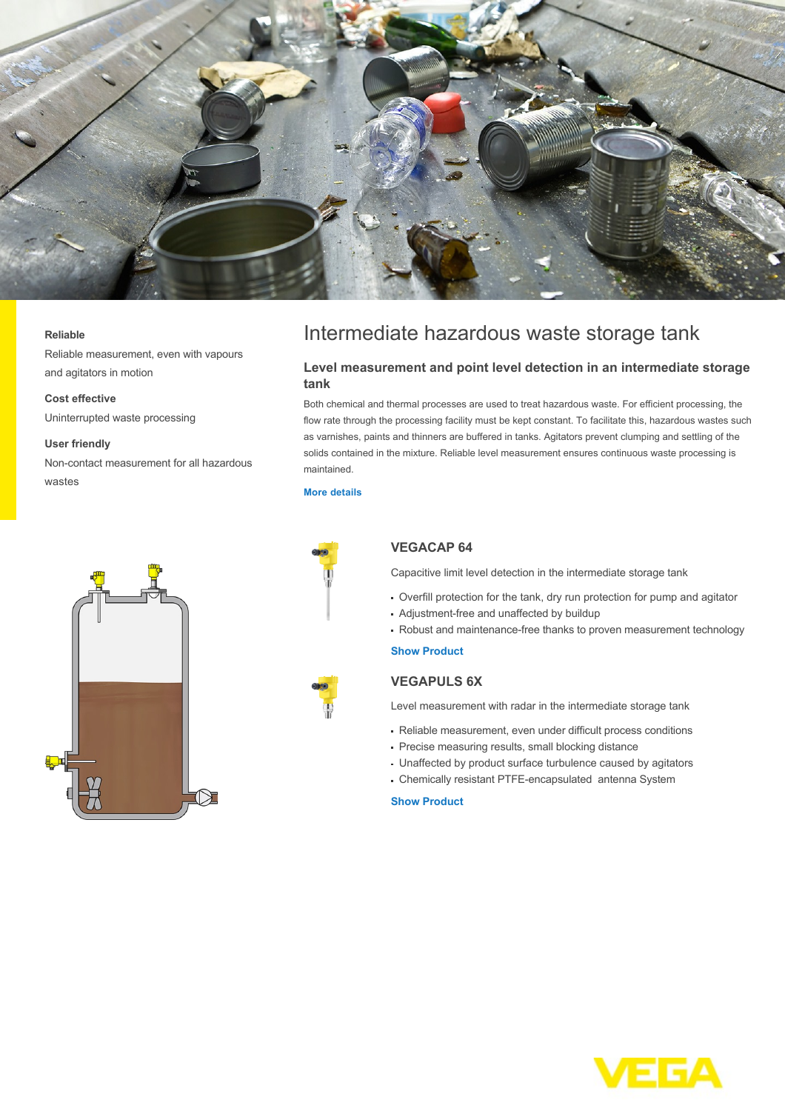

#### **Reliable**

Reliable measurement, even with vapours and agitators in motion

#### **Cost effective**

Uninterrupted waste processing

#### **User friendly**

Non-contact measurement for all hazardous wastes



# Intermediate hazardous waste storage tank

# **Level measurement and point level detection in an intermediate storage tank**

Both chemical and thermal processes are used to treat hazardous waste. For efficient processing, the flow rate through the processing facility must be kept constant. To facilitate this, hazardous wastes such as varnishes, paints and thinners are buffered in tanks. Agitators prevent clumping and settling of the solids contained in the mixture. Reliable level measurement ensures continuous waste processing is maintained.

#### **[More details](http://localhost/industries/environment-recycling/intermediate-hazardous-waste-storage-tank)**



# **VEGACAP 64**

Capacitive limit level detection in the intermediate storage tank

- Overfill protection for the tank, dry run protection for pump and agitator
- Adjustment-free and unaffected by buildup
- Robust and maintenance-free thanks to proven measurement technology

### **[Show Product](http://localhost/products/product-catalog/switching/capacitive/vegacap-64)**

## **VEGAPULS 6X**

Level measurement with radar in the intermediate storage tank

- Reliable measurement, even under difficult process conditions
- Precise measuring results, small blocking distance
- Unaffected by product surface turbulence caused by agitators
- Chemically resistant PTFE-encapsulated antenna System

# **[Show Product](http://localhost/products/product-catalog/level/radar/vegapuls-6x)**